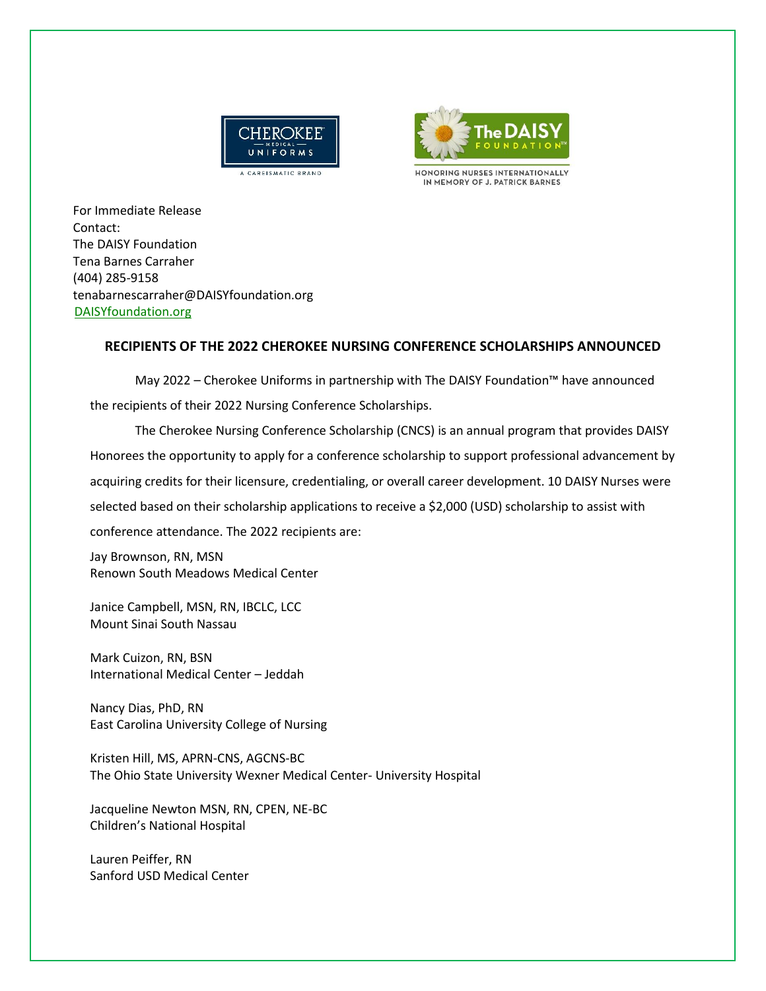



HONORING NURSES INTERNATIONALLY IN MEMORY OF J. PATRICK BARNES

For Immediate Release Contact: The DAISY Foundation Tena Barnes Carraher (404) 285-9158 tenabarnescarraher@DAISYfoundation.org [DAISYfoundation.org](http://daisyfoundation.org/)

## **RECIPIENTS OF THE 2022 CHEROKEE NURSING CONFERENCE SCHOLARSHIPS ANNOUNCED**

May 2022 – Cherokee Uniforms in partnership with The DAISY Foundation™ have announced the recipients of their 2022 Nursing Conference Scholarships.

The Cherokee Nursing Conference Scholarship (CNCS) is an annual program that provides DAISY Honorees the opportunity to apply for a conference scholarship to support professional advancement by acquiring credits for their licensure, credentialing, or overall career development. 10 DAISY Nurses were selected based on their scholarship applications to receive a \$2,000 (USD) scholarship to assist with conference attendance. The 2022 recipients are:

Jay Brownson, RN, MSN Renown South Meadows Medical Center

Janice Campbell, MSN, RN, IBCLC, LCC Mount Sinai South Nassau

Mark Cuizon, RN, BSN International Medical Center – Jeddah

Nancy Dias, PhD, RN East Carolina University College of Nursing

Kristen Hill, MS, APRN-CNS, AGCNS-BC The Ohio State University Wexner Medical Center- University Hospital

Jacqueline Newton MSN, RN, CPEN, NE-BC Children's National Hospital

Lauren Peiffer, RN Sanford USD Medical Center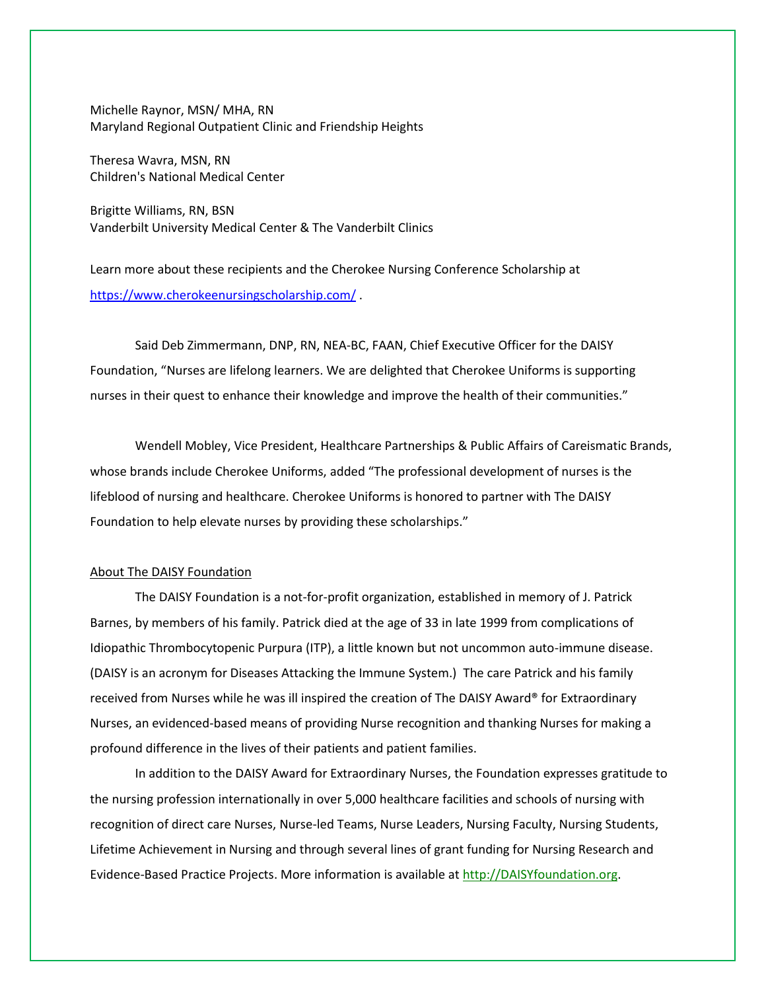Michelle Raynor, MSN/ MHA, RN Maryland Regional Outpatient Clinic and Friendship Heights

Theresa Wavra, MSN, RN Children's National Medical Center

Brigitte Williams, RN, BSN Vanderbilt University Medical Center & The Vanderbilt Clinics

Learn more about these recipients and the Cherokee Nursing Conference Scholarship at <https://www.cherokeenursingscholarship.com/> .

Said Deb Zimmermann, DNP, RN, NEA-BC, FAAN, Chief Executive Officer for the DAISY Foundation, "Nurses are lifelong learners. We are delighted that Cherokee Uniforms is supporting nurses in their quest to enhance their knowledge and improve the health of their communities."

Wendell Mobley, Vice President, Healthcare Partnerships & Public Affairs of Careismatic Brands, whose brands include Cherokee Uniforms, added "The professional development of nurses is the lifeblood of nursing and healthcare. Cherokee Uniforms is honored to partner with The DAISY Foundation to help elevate nurses by providing these scholarships."

## About The DAISY Foundation

The DAISY Foundation is a not-for-profit organization, established in memory of J. Patrick Barnes, by members of his family. Patrick died at the age of 33 in late 1999 from complications of Idiopathic Thrombocytopenic Purpura (ITP), a little known but not uncommon auto-immune disease. (DAISY is an acronym for Diseases Attacking the Immune System.) The care Patrick and his family received from Nurses while he was ill inspired the creation of The DAISY Award® for Extraordinary Nurses, an evidenced-based means of providing Nurse recognition and thanking Nurses for making a profound difference in the lives of their patients and patient families.

In addition to the DAISY Award for Extraordinary Nurses, the Foundation expresses gratitude to the nursing profession internationally in over 5,000 healthcare facilities and schools of nursing with recognition of direct care Nurses, Nurse-led Teams, Nurse Leaders, Nursing Faculty, Nursing Students, Lifetime Achievement in Nursing and through several lines of grant funding for Nursing Research and Evidence-Based Practice Projects. More information is available at [http://DAISYfoundation.org.](http://daisyfoundation.org/)